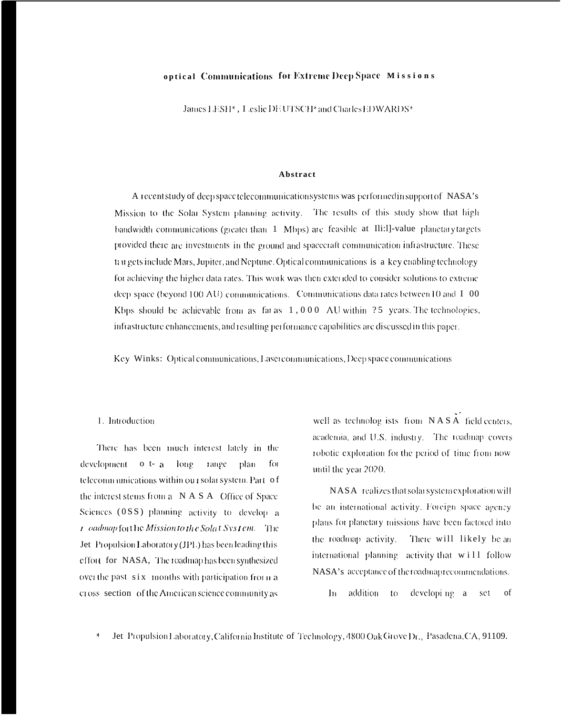## optical Communications for Extreme Deep Space Missions

James LESH<sup>\*</sup>, Leslie DE UTSCH<sup>\*</sup> and Charles EDWARDS<sup>\*</sup>

#### Abstract

A recent study of deep space telecommunication systems was performed in support of NASA's Mission to the Solar System planning activity. The results of this study show that high bandwidth communications (greater than 1 Mbps) are feasible at Ili:1]-value planetary targets provided there are investments in the ground and spacecraft communication infrastructure. These tau gets include Mars, Jupiter, and Neptune. Optical communications is a key enabling technology for achieving the higher data rates. This work was then extended to consider solutions to extreme deep space (beyond 100 AU) communications. Communications data rates between 10 and I 00 Kbps should be achievable from as far as  $1,000$  AU within 25 years. The technologies, infrastructure enhancements, and resulting performance capabilities are discussed in this paper.

Key Winks: Optical communications, Laser communications, Deep space communications

# 1. Introduction

There has been much interest lately in the development  $\sigma$  t-  $a$  long range plan for telecommunications within our solar system. Part of the interest stems from a NASA Office of Space Sciences (0SS) planning activity to develop a *i* oadmap for the Mission to the Solat System. The Jet Propulsion Laboratory (JPL) has been leading this effort for NASA, The roadmap has been synthesized over the past six months with participation from a cross section of the American science community as

well as technolog ists from NASA field centers, academia, and U.S. industry. The roadmap covers robotic exploration for the period of time from now until the year 2020.

NASA realizes that solar system exploration will be an international activity. Foreign space agency plans for planetary missions have been factored into the roadmap activity. There will likely be an international planning activity that will follow NASA's acceptance of the roadmap recommendations.

In addition developi ng a  $10$ set of

 $\frac{1}{2}$ Jet Propulsion Laboratory, California Institute of Technology, 4800 Oak Grove Dr., Pasadena, CA, 91109.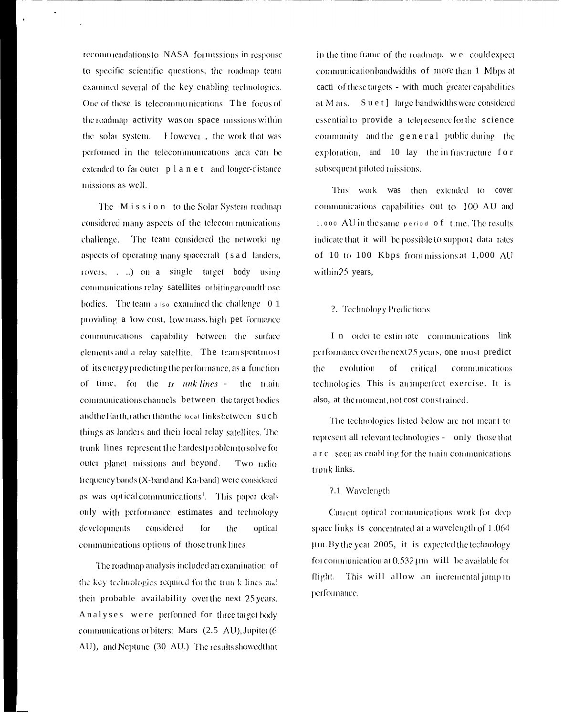recommendations to NASA formissions in response to specific scientific questions, the roadmap team examined several of the key enabling technologies. One of these is telecommunications. The focus of the roadmap activity was on space missions within the solar system. I Iowever, the work that was performed in the telecommunications area can be extended to far outer  $p l a n e t$  and longer-distance missions as well.

The Mission to the Solar System roadmap considered many aspects of the telecom munications challenge. The team considered the networking aspects of operating many spacecraft (s a d landers, rovers, . ..) on a single target body using communications relay satellites orbiting around those bodies. The team  $\overline{a}$  is a examined the challenge  $\overline{0}$  1 providing a low cost, low mass, high pet formance communications capability between the surface elements and a relay satellite. The teamspentmost of its energy predicting the performance, as a function of time, for the  $t_1$  unk lines the main communications channels between the target bodies andthe Earth, rather than the local links between such things as landers and their local relay satellites. The trunk lines represent the hardest problem to solve for outer planet missions and beyond. Two radio frequency bands (X-band and Ka-band) were considered as was optical communications<sup>1</sup>. This paper deals only with performance estimates and technology developments considered for the optical communications options of those trunk lines.

The roadmap analysis included an examination of the key technologies required for the trun k lines and their probable availability over the next 25 years. Analyses were performed for three target body communications or biters: Mars (2.5 AU), Jupiter (6 AU), and Neptune (30 AU.) The results showed that

in the time frame of the roadmap, we could expect communication bandwidths of more than 1 Mbps at cacti of these targets - with much greater capabilities at M ars. Suet] large bandwidths were considered essential to provide a telepresence for the science community and the general public during the exploration, and 10 lay the infrastructure for subsequent piloted missions.

This work was then extended to cover communications capabilities out to 100 AU and 1,000 AU in the same period of time. The results indicate that it will be possible to support data rates of 10 to 100 Kbps from missions at 1,000 AU within 25 years,

#### 2. Technology Predictions

I n order to estin rate communications link performance over the next 25 years, one must predict the evolution  $\sigma$ f critical communications technologies. This is an imperfect exercise. It is also, at the moment, not cost constrained.

The technologies listed below are not meant to represent all relevant technologies - only those that arc seen as enabling for the main communications trunk links.

#### ?.1 Wavelength

Current optical communications work for deep space links is concentrated at a wavelength of 1.064 um. By the year 2005, it is expected the technology for communication at  $0.532 \,\text{\mu m}$  will be available for flight. This will allow an incremental jump in performance.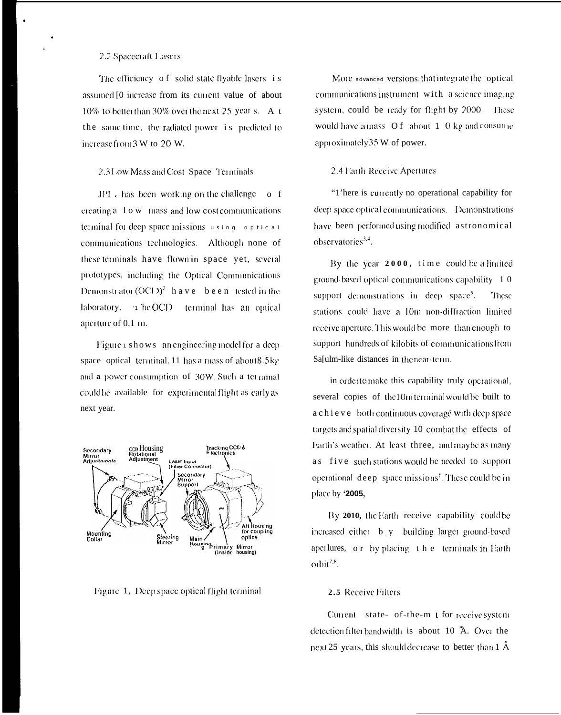## 2.2 Spacecraft Lasers

The efficiency of solid state flyable lasers is assumed [0 increase from its current value of about  $10\%$  to better than 30% over the next 25 year s. A t the same time, the radiated power is predicted to increase from 3 W to 20 W.

#### 2.31 ow Mass and Cost Space Terminals

 $JPI \rightarrow$  has been working on the challenge of creating a 1 o w mass and low cost communications terminal for deep space missions using optical communications technologies. Although none of these terminals have flown in space yet, several prototypes, including the Optical Communications Demonstrator  $(OCI)^2$  have been tested in the laboratory.  $\rightarrow$  he OCD terminal has an optical aperture of 0.1 m.

Figure 1 shows an engineering model for a deep space optical terminal. 11 has a mass of about 8.5kg and a power consumption of 30W. Such a terminal could be available for experimental flight as early as next year.



Figure 1, Deep space optical flight terminal

More advanced versions, that integrate the optical communications instrument with a science imaging system, could be ready for flight by 2000. These would have a mass  $Of$  about 1 0 kg and consume approximately 35 W of power.

#### 2.4 Earth Receive Apertures

"There is currently no operational capability for deep space optical communications. Demonstrations have been performedusing modified astronomical observatories $3,4$ .

By the year  $2000$ , time could be a limited ground-based optical communications capability 10 support demonstrations in deep space<sup>5</sup>. These stations could have a 10m non-diffraction limited receive aperture. This would be more than enough to support hundreds of kilobits of communications from Sa[ulm-like distances in the near-term.

in ordertomake this capability truly operational, several copies of the 10m terminal would be built to a chi e v e both continuous coverage with deep space targets and spatial diversity 10 combat the effects of Earth's weather. At least three, and maybe as many as five such stations would be needed to support operational deep space missions<sup>6</sup>. These could be in place by '2005,

By 2010, the Earth receive capability could be increased either b y building larger ground-based apertures, or by placing the terminals in Earth  $\omega$ bit<sup>7,8</sup>.

## 2.5 Receive Filters

Current state- of-the-m t for receive system detection filter bandwidth is about 10 Å. Over the next 25 years, this should decrease to better than 1 Å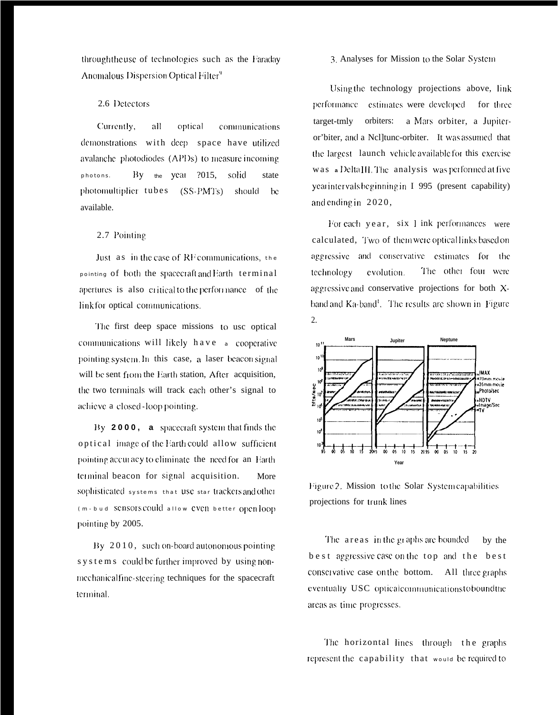through the use of technologies such as the Faraday Anomalous Dispersion Optical Filter<sup>9</sup>

# 2.6 Detectors

Currently, all optical communications demonstrations with deep space have utilized avalanche photodiodes (APDs) to measure incoming By the year 2015, solid photons. state photomultiplier tubes (SS-PMTs) should be available.

### 2.7 Pointing

Just as in the case of RF communications, the pointing of both the spacecraft and Earth terminal apertures is also critical to the performance of the link for optical communications.

The first deep space missions to use optical communications will likely have a cooperative pointing system. In this case, a laser beacon signal will be sent from the Earth station, After acquisition, the two terminals will track each other's signal to achieve a closed-loop pointing.

By 2000, a spacecraft system that finds the optical image of the Earth could allow sufficient pointing accuracy to eliminate the need for an Earth terminal beacon for signal acquisition. More sophisticated systems that USC star trackers and other (m-bud SCDSOTS COUld allow EVCD better Openloop pointing by 2005.

By 2010, such on-board autonomous pointing systems could be further improved by using nonmechanical fine-steering techniques for the spacecraft terminal.

#### 3. Analyses for Mission to the Solar System

Using the technology projections above, link performance estimates were developed for three target-tmly orbiters: a Mars orbiter, a Jupiteror'biter, and a Nelltune-orbiter. It was assumed that the largest launch vehicle available for this exercise was a DeltaIII. The analysis was performed at five yearintervals beginning in I 995 (present capability) and ending in 2020,

For each year, six 1 ink performances were calculated, Two of them were opticallinks based on aggressive and conservative estimates for the The other four were evolution. technology aggressive and conservative projections for both Xband and Ka-band<sup>1</sup>. The results are shown in Figure  $\overline{2}$ .



Figure 2. Mission to the Solar System capabilities projections for trunk lines

The areas in the graphs are bounded by the best aggressive case on the top and the best conservative case on the bottom. All three graphs eventually USC opticalcommunicationstoboundthe areas as time progresses.

The horizontal lines through the graphs represent the capability that would be required to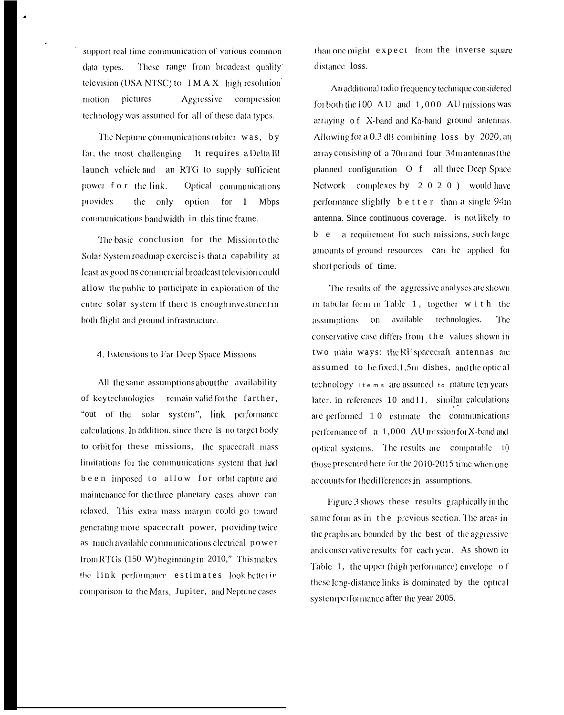support real time communication of various common These range from broadcast quality data types. television (USA NTSC) to  $1 M A X$  high resolution pictures. Aggressive compression motion technology was assumed for all of these data types.

The Neptune communications orbiter was, by far, the most challenging. It requires a Delta III launch vehicle and an RTG to supply sufficient power for the link. Optical communications provides the only option for 1 Mbps communications bandwidth in this time frame.

The basic conclusion for the Mission to the Solar System roadmap exercise is that a capability at least as good as commercial broadcast television could allow the public to participate in exploration of the entire solar system if there is enough investment in both flight and ground infrastructure.

4. Extensions to Far Deep Space Missions

All the same assumptions about the availability of key technologies remain valid for the farther, "out of the solar system", link performance calculations. In addition, since there is no target body to orbit for these missions, the spacecraft mass limitations for the communications system that had been imposed to allow for orbit capture and maintenance for the three planetary cases above can relaxed. This extra mass margin could go toward generating more spacecraft power, providing twice as much available communications electrical power from RTGs (150 W) beginning in 2010," This makes the link performance estimates look betterin comparison to the Mars, Jupiter, and Neptune cases

than one might expect from the inverse square distance loss.

An additional radio frequency technique considered for both the  $100 \text{ AU}$  and  $1,000 \text{ AU}$  missions was arraying of X-band and Ka-band ground antennas. Allowing for a 0.3 dB combining loss by 2020, an array consisting of a 70m and four 34m antennas (the planned configuration O f all three Deep Space Network complexes by 2 0 2 0 ) would have performance slightly better than a single 94m antenna. Since continuous coverage. is not likely to b e a requirement for such missions, such large amounts of ground resources can be applied for short periods of time.

The results of the aggressive analyses are shown in tabular form in Table 1, together with the assumptions on available technologies. The conservative case differs from the values shown in two main ways: the RF spacecraft antennas are assumed to be fixed.1.5m dishes, and the optical technology items are assumed to mature ten years later, in references 10 and 11, similar calculations are performed 10 estimate the communications performance of a 1,000 AU mission for X-band and optical systems. The results are comparable  $t()$ those presented here for the 2010-2015 time when one accounts for the differences in assumptions.

Figure 3 shows these results graphically in the same form as in the previous section. The areas in the graphs are bounded by the best of the aggressive and conservative results for each year. As shown in Table 1, the upper (high performance) envelope of these long-distance links is dominated by the optical systemperformance after the year 2005.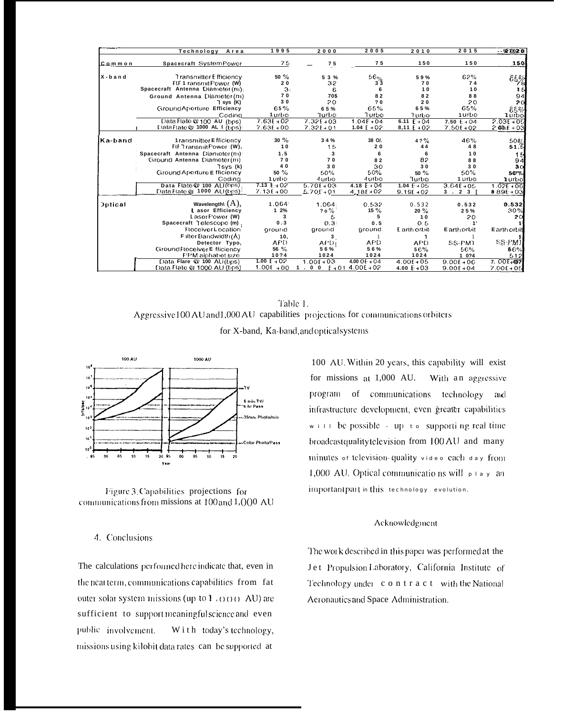|                | Technology<br>Area                   | 1995            | 2000                   | 2005           | 2010                   | 2015                                    | $-27020$                |
|----------------|--------------------------------------|-----------------|------------------------|----------------|------------------------|-----------------------------------------|-------------------------|
| Common         | Spacecraft SystemPower               | 75              | 75                     | 75             | 150                    | 150                                     | 150                     |
| $X - b$ and    | <b>Transmitter Efficiency</b>        | $50 \%$         | 53%                    | $56\%$         | 59%                    | 62%                                     | $\hat{\epsilon}$ ક્રુજુ |
|                | FIF 1 ransmit Power (W)              | 20              | 32                     | $3\bar{3}$     | 70                     | 74                                      |                         |
|                | Spacecraft Antenna Diameter (m);     | 3 <sub>1</sub>  | 6                      | 6              | 10                     | 10                                      | 15                      |
|                | Ground Antenna Diameter (m)          | 70              | 70\$                   | 82             | 82                     | 88                                      | 94                      |
|                | T sys (K)                            | 30              | 20                     | 20             | 20                     | 20                                      | 20                      |
|                | Ground Aperture Efficiency           | €5%             | 65%                    | 65%            | 65%                    | 65%                                     | 65%                     |
|                | Coding                               | 1 urbo          | Turbo                  | Turbo          | Turbo.                 | 1 urbo                                  | 1 urbol                 |
|                | Data Rate @ 100 AU (bos)             | $7.63E + 02$    | $7.321 + 03$           | $1.04F + 04$   | 6.11 $E + 04$          | $7.50 E + 04$                           | $2.03E + 05$            |
|                | Data Flate $\omega$ 1000 AL I (bps)  | $7.63E + 00$    | $7.32E + 01$           | 1.04 $E + 0.2$ | 8,11 $E + O2$          | $7.50f + 02$                            | $2036 + 03$             |
| Ka-band        |                                      | 30%             | 34%                    |                |                        | 46%                                     |                         |
|                | 1 ransmitter Efficiency              | 10              | 15                     | 38 O/.<br>20   | 4 ? %<br>44            | 48                                      | $50\%$<br>51.5          |
|                | <b>RFT ransmit Power (W),</b>        |                 |                        |                |                        |                                         |                         |
|                | Spacecraft Antenna Diameter(m)       | 1.5             | 3                      | 6              | 6                      | 10                                      | 16                      |
|                | Ground Antenna Diameter(m)           | 70<br>40        | 70                     | 82             | 82                     | 88                                      | 94                      |
|                | $I$ sys ( $k$ )                      | $50 \%$         | 30                     | 30<br>50%      | 30                     | 30<br>50%                               | 30                      |
|                | Ground Aperture E fficiency          | 1 urbo          | 50%                    | -furbo         | 50 %                   | 1 urbo                                  | 50%                     |
|                | Coding<br>Data $FlatA@ 100 ALI(bps)$ | $7.13 \div 0.2$ | -furbo<br>$5.70E + 03$ | 4.18 $F + 04$  | Turbo<br>1.04 $E + 05$ |                                         | Turbol                  |
|                | Data Flate @ 1000 AU (typs)          | $7.136 + 00$    | $5.70F + 01$           | $4.18E + 02$   | $9.19E + 02$           | $3.64E + 05$<br>3 <sup>1</sup><br>2 3 1 | $1.02E + 06$<br>889E+03 |
|                |                                      |                 |                        |                |                        |                                         |                         |
| <b>Optical</b> | Wavelength\ $(A)$ ,                  | 1.064           | 1.064:                 | 0.532          | 0.532                  | 0.532                                   | 0.532                   |
|                | L asor Efficiency                    | 12%             | ?0%                    | $15 \%$        | $20 \%$                | 25%                                     | 30%                     |
|                | Laser Power (W)                      | 3               | 5                      | 5              | 10                     | 20                                      | 20                      |
|                | Spacecraft Telescope (m)             | 0.3             | 0.31                   | 0.5            | 0.5                    |                                         |                         |
|                | <b>Floceiver Location</b>            | around          | ground                 | ground         | Earth orbit            | Earthorbit                              | Earthorbit              |
|                | FilterBandwidth(Å)                   | 10,             | 3                      |                |                        |                                         |                         |
|                | Detector Typo,                       | APD.            | $APD_1$                | <b>APD</b>     | <b>APD</b>             | SS-PMT                                  | SS-PMI                  |
|                | Ground Receiver E fficiency          | 56 %            | 56%                    | 56%            | 56%                    | 56%                                     | 56%                     |
|                | <b>FFM</b> alphabet size             | 10?4            | 1024                   | 1024           | 1024                   | 1 0 ? 4                                 | 512                     |
|                | Data Flare @ 100 AU(bps)             | 1.00 $E + 0$ ?  | $1.00f + 03$           | 4.00 $0E + 04$ | $4.00F + 05$           | $9.00f + 06$                            | 7. CO.E +407            |
|                | Data Rate @ 1000 AU (bps)            | $1.00E + 00$    | 1.00 $F+01$ 4.00E+02   |                | 4.00 $E + 03$          | $9.00E + 04$                            | $7.00E + 05$            |

Table 1. Aggressive 100 AU and 1,000 AU capabilities projections for communications orbiters for X-band, Ka-band, and optical systems



Figure 3. Capabilities projections for communications from missions at 100 and 1,000 AU

### 4. Conclusions

The calculations performed here indicate that, even in the near term, communications capabilities from fat outer solar system missions (up to  $1,000$  AU) are sufficient to support meaningful science and even With today's technology, public involvement. missions using kilobit data rates can be supported at

100 AU. Within 20 years, this capability will exist for missions at 1,000 AU. With an aggressive program of communications technology and infrastructure development, even greater capabilities w i 11 be possible - up to supporti ng real time broadcastqualitytelevision from 100 AU and many minutes or television-quality video each day from 1,000 AU. Optical communications will play an importantpart in this technology evolution.

# Acknowledgment

The work described in this paper was performed at the Jet Propulsion Laboratory, California Institute of Technology under contract with the National Aeronautics and Space Administration.